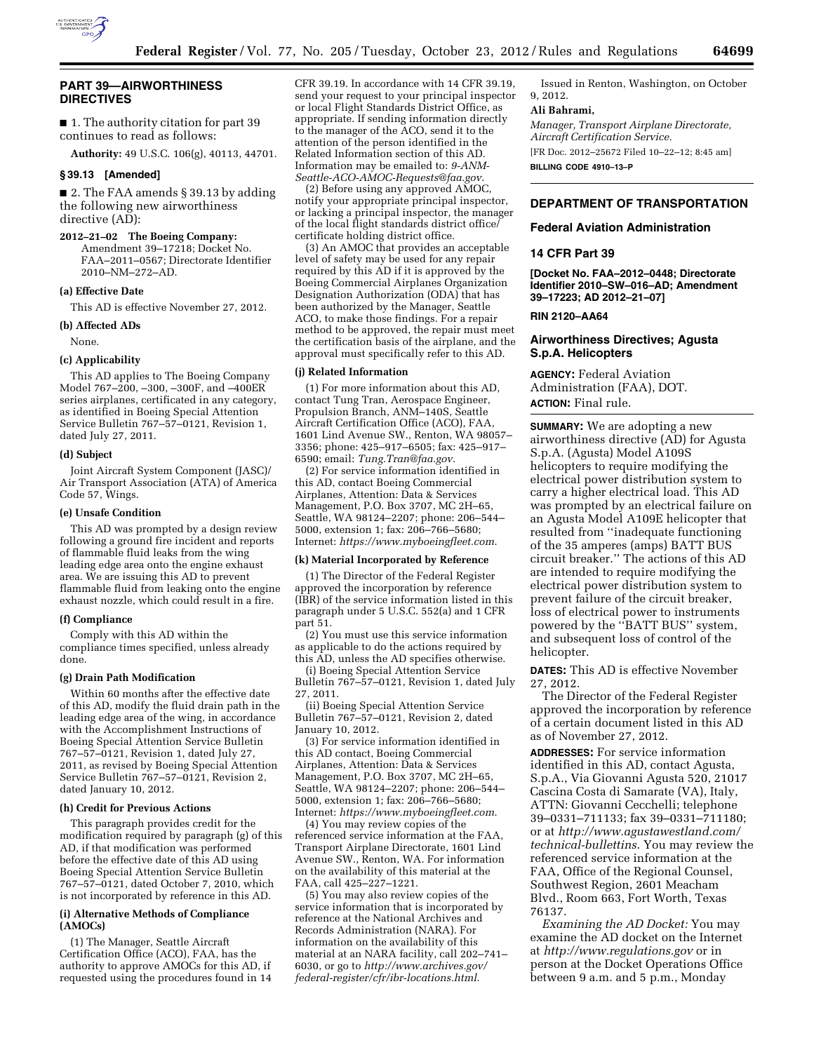

# **PART 39—AIRWORTHINESS DIRECTIVES**

■ 1. The authority citation for part 39 continues to read as follows:

**Authority:** 49 U.S.C. 106(g), 40113, 44701.

# **§ 39.13 [Amended]**

■ 2. The FAA amends § 39.13 by adding the following new airworthiness directive (AD):

# **2012–21–02 The Boeing Company:**

Amendment 39–17218; Docket No. FAA–2011–0567; Directorate Identifier 2010–NM–272–AD.

# **(a) Effective Date**

This AD is effective November 27, 2012.

#### **(b) Affected ADs**

None.

#### **(c) Applicability**

This AD applies to The Boeing Company Model 767–200, –300, –300F, and –400ER series airplanes, certificated in any category, as identified in Boeing Special Attention Service Bulletin 767–57–0121, Revision 1, dated July 27, 2011.

#### **(d) Subject**

Joint Aircraft System Component (JASC)/ Air Transport Association (ATA) of America Code 57, Wings.

#### **(e) Unsafe Condition**

This AD was prompted by a design review following a ground fire incident and reports of flammable fluid leaks from the wing leading edge area onto the engine exhaust area. We are issuing this AD to prevent flammable fluid from leaking onto the engine exhaust nozzle, which could result in a fire.

### **(f) Compliance**

Comply with this AD within the compliance times specified, unless already done.

#### **(g) Drain Path Modification**

Within 60 months after the effective date of this AD, modify the fluid drain path in the leading edge area of the wing, in accordance with the Accomplishment Instructions of Boeing Special Attention Service Bulletin 767–57–0121, Revision 1, dated July 27, 2011, as revised by Boeing Special Attention Service Bulletin 767–57–0121, Revision 2, dated January 10, 2012.

#### **(h) Credit for Previous Actions**

This paragraph provides credit for the modification required by paragraph (g) of this AD, if that modification was performed before the effective date of this AD using Boeing Special Attention Service Bulletin 767–57–0121, dated October 7, 2010, which is not incorporated by reference in this AD.

### **(i) Alternative Methods of Compliance (AMOCs)**

(1) The Manager, Seattle Aircraft Certification Office (ACO), FAA, has the authority to approve AMOCs for this AD, if requested using the procedures found in 14 CFR 39.19. In accordance with 14 CFR 39.19, send your request to your principal inspector or local Flight Standards District Office, as appropriate. If sending information directly to the manager of the ACO, send it to the attention of the person identified in the Related Information section of this AD. Information may be emailed to: *[9-ANM-](mailto:9-ANM-Seattle-ACO-AMOC-Requests@faa.gov)[Seattle-ACO-AMOC-Requests@faa.gov](mailto:9-ANM-Seattle-ACO-AMOC-Requests@faa.gov)*.

(2) Before using any approved AMOC, notify your appropriate principal inspector, or lacking a principal inspector, the manager of the local flight standards district office/ certificate holding district office.

(3) An AMOC that provides an acceptable level of safety may be used for any repair required by this AD if it is approved by the Boeing Commercial Airplanes Organization Designation Authorization (ODA) that has been authorized by the Manager, Seattle ACO, to make those findings. For a repair method to be approved, the repair must meet the certification basis of the airplane, and the approval must specifically refer to this AD.

### **(j) Related Information**

(1) For more information about this AD, contact Tung Tran, Aerospace Engineer, Propulsion Branch, ANM–140S, Seattle Aircraft Certification Office (ACO), FAA, 1601 Lind Avenue SW., Renton, WA 98057– 3356; phone: 425–917–6505; fax: 425–917– 6590; email: *[Tung.Tran@faa.gov](mailto:Tung.Tran@faa.gov)*.

(2) For service information identified in this AD, contact Boeing Commercial Airplanes, Attention: Data & Services Management, P.O. Box 3707, MC 2H–65, Seattle, WA 98124–2207; phone: 206–544– 5000, extension 1; fax: 206–766–5680; Internet: *<https://www.myboeingfleet.com>*.

### **(k) Material Incorporated by Reference**

(1) The Director of the Federal Register approved the incorporation by reference (IBR) of the service information listed in this paragraph under 5 U.S.C. 552(a) and 1 CFR part 51.

(2) You must use this service information as applicable to do the actions required by this AD, unless the AD specifies otherwise.

(i) Boeing Special Attention Service Bulletin 767–57–0121, Revision 1, dated July 27, 2011.

(ii) Boeing Special Attention Service Bulletin 767–57–0121, Revision 2, dated January 10, 2012.

(3) For service information identified in this AD contact, Boeing Commercial Airplanes, Attention: Data & Services Management, P.O. Box 3707, MC 2H–65, Seattle, WA 98124–2207; phone: 206–544– 5000, extension 1; fax: 206–766–5680; Internet: *<https://www.myboeingfleet.com>*.

(4) You may review copies of the referenced service information at the FAA, Transport Airplane Directorate, 1601 Lind Avenue SW., Renton, WA. For information on the availability of this material at the FAA, call 425–227–1221.

(5) You may also review copies of the service information that is incorporated by reference at the National Archives and Records Administration (NARA). For information on the availability of this material at an NARA facility, call 202–741– 6030, or go to *[http://www.archives.gov/](http://www.archives.gov/federal-register/cfr/ibr-locations.html)  [federal-register/cfr/ibr-locations.html](http://www.archives.gov/federal-register/cfr/ibr-locations.html)*.

Issued in Renton, Washington, on October 9, 2012.

### **Ali Bahrami,**

*Manager, Transport Airplane Directorate, Aircraft Certification Service.* 

[FR Doc. 2012–25672 Filed 10–22–12; 8:45 am] **BILLING CODE 4910–13–P** 

# **DEPARTMENT OF TRANSPORTATION**

### **Federal Aviation Administration**

#### **14 CFR Part 39**

**[Docket No. FAA–2012–0448; Directorate Identifier 2010–SW–016–AD; Amendment 39–17223; AD 2012–21–07]** 

**RIN 2120–AA64** 

# **Airworthiness Directives; Agusta S.p.A. Helicopters**

**AGENCY:** Federal Aviation Administration (FAA), DOT. **ACTION:** Final rule.

**SUMMARY:** We are adopting a new airworthiness directive (AD) for Agusta S.p.A. (Agusta) Model A109S helicopters to require modifying the electrical power distribution system to carry a higher electrical load. This AD was prompted by an electrical failure on an Agusta Model A109E helicopter that resulted from ''inadequate functioning of the 35 amperes (amps) BATT BUS circuit breaker.'' The actions of this AD are intended to require modifying the electrical power distribution system to prevent failure of the circuit breaker, loss of electrical power to instruments powered by the ''BATT BUS'' system, and subsequent loss of control of the helicopter.

**DATES:** This AD is effective November 27, 2012.

The Director of the Federal Register approved the incorporation by reference of a certain document listed in this AD as of November 27, 2012.

**ADDRESSES:** For service information identified in this AD, contact Agusta, S.p.A., Via Giovanni Agusta 520, 21017 Cascina Costa di Samarate (VA), Italy, ATTN: Giovanni Cecchelli; telephone 39–0331–711133; fax 39–0331–711180; or at *[http://www.agustawestland.com/](http://www.agustawestland.com/technical-bullettins) [technical-bullettins](http://www.agustawestland.com/technical-bullettins)*. You may review the referenced service information at the FAA, Office of the Regional Counsel, Southwest Region, 2601 Meacham Blvd., Room 663, Fort Worth, Texas 76137.

*Examining the AD Docket:* You may examine the AD docket on the Internet at *<http://www.regulations.gov>* or in person at the Docket Operations Office between 9 a.m. and 5 p.m., Monday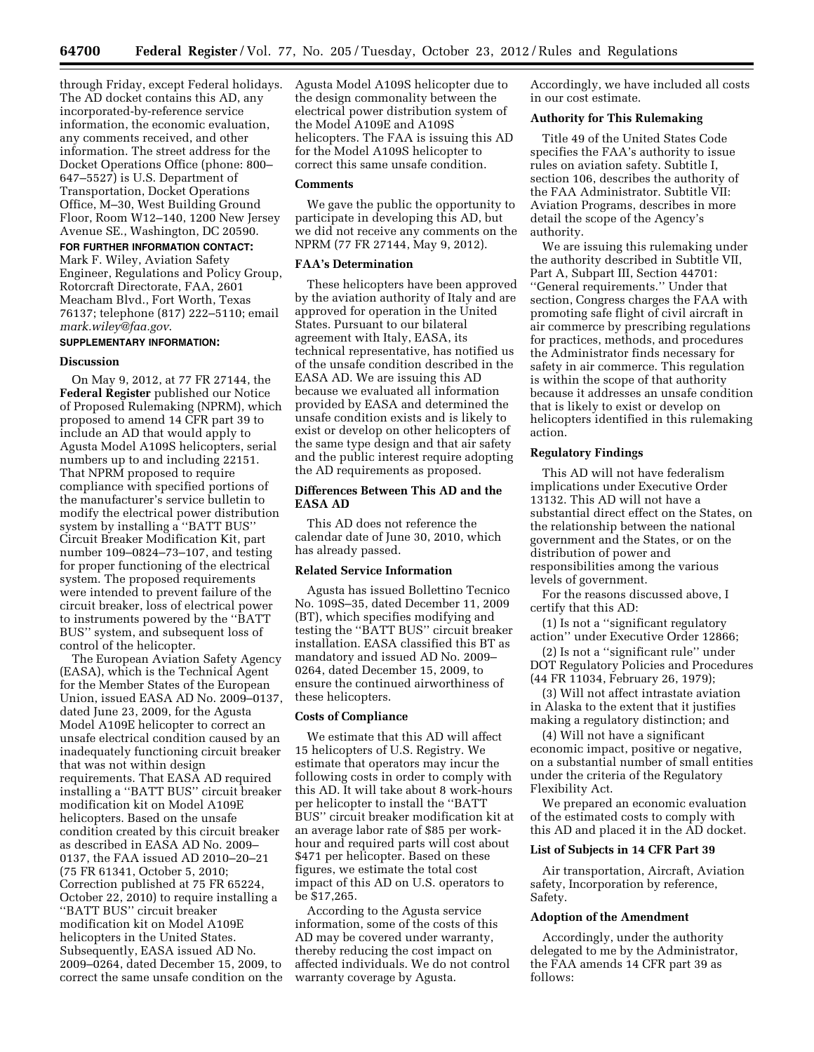through Friday, except Federal holidays. The AD docket contains this AD, any incorporated-by-reference service information, the economic evaluation, any comments received, and other information. The street address for the Docket Operations Office (phone: 800– 647–5527) is U.S. Department of Transportation, Docket Operations Office, M–30, West Building Ground Floor, Room W12–140, 1200 New Jersey Avenue SE., Washington, DC 20590.

# **FOR FURTHER INFORMATION CONTACT:**

Mark F. Wiley, Aviation Safety Engineer, Regulations and Policy Group, Rotorcraft Directorate, FAA, 2601 Meacham Blvd., Fort Worth, Texas 76137; telephone (817) 222–5110; email *[mark.wiley@faa.gov](mailto:mark.wiley@faa.gov)*.

# **SUPPLEMENTARY INFORMATION:**

### **Discussion**

On May 9, 2012, at 77 FR 27144, the **Federal Register** published our Notice of Proposed Rulemaking (NPRM), which proposed to amend 14 CFR part 39 to include an AD that would apply to Agusta Model A109S helicopters, serial numbers up to and including 22151. That NPRM proposed to require compliance with specified portions of the manufacturer's service bulletin to modify the electrical power distribution system by installing a ''BATT BUS'' Circuit Breaker Modification Kit, part number 109–0824–73–107, and testing for proper functioning of the electrical system. The proposed requirements were intended to prevent failure of the circuit breaker, loss of electrical power to instruments powered by the ''BATT BUS'' system, and subsequent loss of control of the helicopter.

The European Aviation Safety Agency (EASA), which is the Technical Agent for the Member States of the European Union, issued EASA AD No. 2009–0137, dated June 23, 2009, for the Agusta Model A109E helicopter to correct an unsafe electrical condition caused by an inadequately functioning circuit breaker that was not within design requirements. That EASA AD required installing a ''BATT BUS'' circuit breaker modification kit on Model A109E helicopters. Based on the unsafe condition created by this circuit breaker as described in EASA AD No. 2009– 0137, the FAA issued AD 2010–20–21 (75 FR 61341, October 5, 2010; Correction published at 75 FR 65224, October 22, 2010) to require installing a ''BATT BUS'' circuit breaker modification kit on Model A109E helicopters in the United States. Subsequently, EASA issued AD No. 2009–0264, dated December 15, 2009, to correct the same unsafe condition on the

Agusta Model A109S helicopter due to the design commonality between the electrical power distribution system of the Model A109E and A109S helicopters. The FAA is issuing this AD for the Model A109S helicopter to correct this same unsafe condition.

### **Comments**

We gave the public the opportunity to participate in developing this AD, but we did not receive any comments on the NPRM (77 FR 27144, May 9, 2012).

### **FAA's Determination**

These helicopters have been approved by the aviation authority of Italy and are approved for operation in the United States. Pursuant to our bilateral agreement with Italy, EASA, its technical representative, has notified us of the unsafe condition described in the EASA AD. We are issuing this AD because we evaluated all information provided by EASA and determined the unsafe condition exists and is likely to exist or develop on other helicopters of the same type design and that air safety and the public interest require adopting the AD requirements as proposed.

# **Differences Between This AD and the EASA AD**

This AD does not reference the calendar date of June 30, 2010, which has already passed.

### **Related Service Information**

Agusta has issued Bollettino Tecnico No. 109S–35, dated December 11, 2009 (BT), which specifies modifying and testing the ''BATT BUS'' circuit breaker installation. EASA classified this BT as mandatory and issued AD No. 2009– 0264, dated December 15, 2009, to ensure the continued airworthiness of these helicopters.

### **Costs of Compliance**

We estimate that this AD will affect 15 helicopters of U.S. Registry. We estimate that operators may incur the following costs in order to comply with this AD. It will take about 8 work-hours per helicopter to install the ''BATT BUS'' circuit breaker modification kit at an average labor rate of \$85 per workhour and required parts will cost about \$471 per helicopter. Based on these figures, we estimate the total cost impact of this AD on U.S. operators to be \$17,265.

According to the Agusta service information, some of the costs of this AD may be covered under warranty, thereby reducing the cost impact on affected individuals. We do not control warranty coverage by Agusta.

Accordingly, we have included all costs in our cost estimate.

# **Authority for This Rulemaking**

Title 49 of the United States Code specifies the FAA's authority to issue rules on aviation safety. Subtitle I, section 106, describes the authority of the FAA Administrator. Subtitle VII: Aviation Programs, describes in more detail the scope of the Agency's authority.

We are issuing this rulemaking under the authority described in Subtitle VII, Part A, Subpart III, Section 44701: ''General requirements.'' Under that section, Congress charges the FAA with promoting safe flight of civil aircraft in air commerce by prescribing regulations for practices, methods, and procedures the Administrator finds necessary for safety in air commerce. This regulation is within the scope of that authority because it addresses an unsafe condition that is likely to exist or develop on helicopters identified in this rulemaking action.

# **Regulatory Findings**

This AD will not have federalism implications under Executive Order 13132. This AD will not have a substantial direct effect on the States, on the relationship between the national government and the States, or on the distribution of power and responsibilities among the various levels of government.

For the reasons discussed above, I certify that this AD:

(1) Is not a ''significant regulatory action'' under Executive Order 12866;

(2) Is not a ''significant rule'' under DOT Regulatory Policies and Procedures (44 FR 11034, February 26, 1979);

(3) Will not affect intrastate aviation in Alaska to the extent that it justifies making a regulatory distinction; and

(4) Will not have a significant economic impact, positive or negative, on a substantial number of small entities under the criteria of the Regulatory Flexibility Act.

We prepared an economic evaluation of the estimated costs to comply with this AD and placed it in the AD docket.

#### **List of Subjects in 14 CFR Part 39**

Air transportation, Aircraft, Aviation safety, Incorporation by reference, Safety.

### **Adoption of the Amendment**

Accordingly, under the authority delegated to me by the Administrator, the FAA amends 14 CFR part 39 as follows: